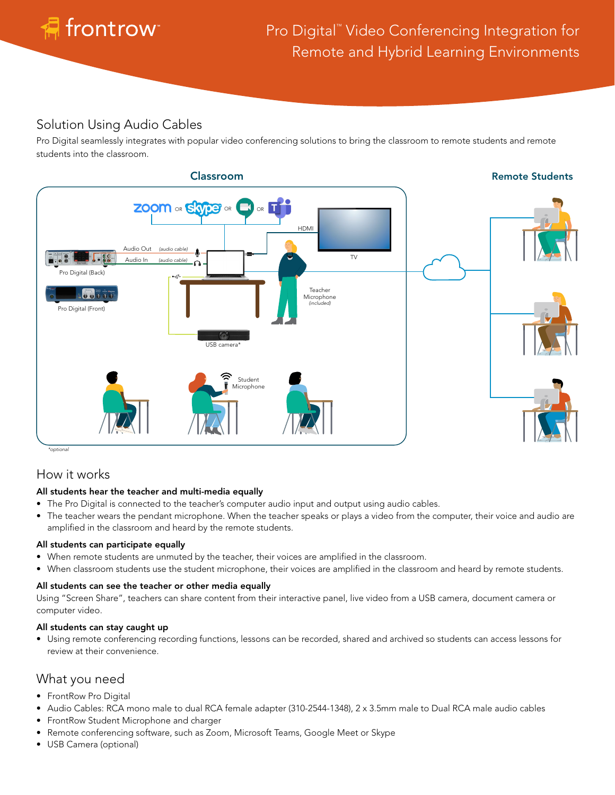

## Solution Using Audio Cables

Pro Digital seamlessly integrates with popular video conferencing solutions to bring the classroom to remote students and remote students into the classroom.



## How it works

## All students hear the teacher and multi-media equally

- The Pro Digital is connected to the teacher's computer audio input and output using audio cables.
- The teacher wears the pendant microphone. When the teacher speaks or plays a video from the computer, their voice and audio are amplified in the classroom and heard by the remote students.

### All students can participate equally

- When remote students are unmuted by the teacher, their voices are amplified in the classroom.
- When classroom students use the student microphone, their voices are amplified in the classroom and heard by remote students.

### All students can see the teacher or other media equally

Using "Screen Share", teachers can share content from their interactive panel, live video from a USB camera, document camera or computer video.

### All students can stay caught up

• Using remote conferencing recording functions, lessons can be recorded, shared and archived so students can access lessons for review at their convenience.

## What you need

- FrontRow Pro Digital
- Audio Cables: RCA mono male to dual RCA female adapter (310-2544-1348), 2 x 3.5mm male to Dual RCA male audio cables
- FrontRow Student Microphone and charger
- Remote conferencing software, such as Zoom, Microsoft Teams, Google Meet or Skype
- USB Camera (optional)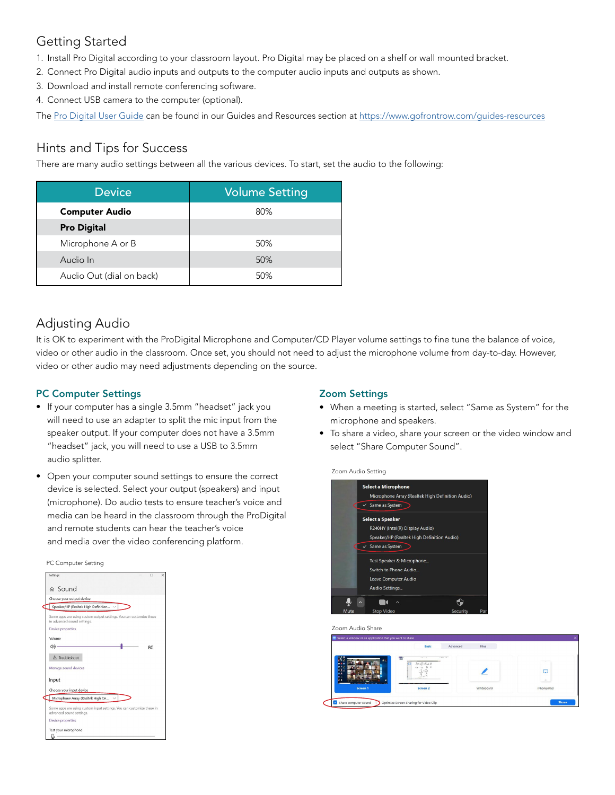# Getting Started

- 1. Install Pro Digital according to your classroom layout. Pro Digital may be placed on a shelf or wall mounted bracket.
- 2. Connect Pro Digital audio inputs and outputs to the computer audio inputs and outputs as shown.
- 3. Download and install remote conferencing software.
- 4. Connect USB camera to the computer (optional).

The [Pro Digital User Guide](https://www.gofrontrow.com/sites/default/files/how-to/classroom-audio-pro-digital-user-guide.pdf) can be found in our Guides and Resources section at [https://www.gofrontrow.com/guides-resources](https://www.gofrontrow.com/en/guides-resources)

## Hints and Tips for Success

There are many audio settings between all the various devices. To start, set the audio to the following:

| <b>Device</b>            | <b>Volume Setting</b> |  |
|--------------------------|-----------------------|--|
| <b>Computer Audio</b>    | 80%                   |  |
| <b>Pro Digital</b>       |                       |  |
| Microphone A or B        | 50%                   |  |
| Audio In                 | 50%                   |  |
| Audio Out (dial on back) | 50%                   |  |

# Adjusting Audio

It is OK to experiment with the ProDigital Microphone and Computer/CD Player volume settings to fine tune the balance of voice, video or other audio in the classroom. Once set, you should not need to adjust the microphone volume from day-to-day. However, video or other audio may need adjustments depending on the source.

## PC Computer Settings

- If your computer has a single 3.5mm "headset" jack you will need to use an adapter to split the mic input from the speaker output. If your computer does not have a 3.5mm "headset" jack, you will need to use a USB to 3.5mm audio splitter.
- Open your computer sound settings to ensure the correct device is selected. Select your output (speakers) and input (microphone). Do audio tests to ensure teacher's voice and media can be heard in the classroom through the ProDigital and remote students can hear the teacher's voice and media over the video conferencing platform.

#### PC Computer Setting



## Zoom Settings

- When a meeting is started, select "Same as System" for the microphone and speakers.
- To share a video, share your screen or the video window and select "Share Computer Sound".

Zoom Audio Setting



Zoom Audio Share